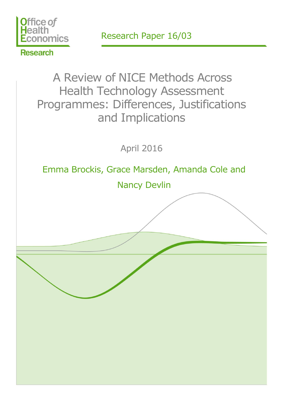

Research Paper 16/03

**Research** 

# A Review of NICE Methods Across Health Technology Assessment Programmes: Differences, Justifications and Implications

April 2016

Emma Brockis, Grace Marsden, Amanda Cole and

Nancy Devlin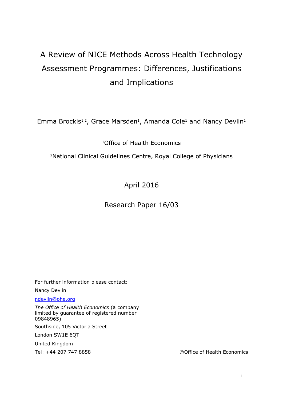## A Review of NICE Methods Across Health Technology Assessment Programmes: Differences, Justifications and Implications

Emma Brockis<sup>1,2</sup>, Grace Marsden<sup>1</sup>, Amanda Cole<sup>1</sup> and Nancy Devlin<sup>1</sup>

<sup>1</sup>Office of Health Economics

<sup>2</sup>National Clinical Guidelines Centre, Royal College of Physicians

April 2016

## Research Paper 16/03

For further information please contact: Nancy Devlin

[ndevlin@ohe.org](mailto:ndevlin@ohe.org)

*The Office of Health Economics* (a company limited by guarantee of registered number 09848965)

Southside, 105 Victoria Street

London SW1E 6QT

United Kingdom

Tel: +44 207 747 8858 ©Office of Health Economics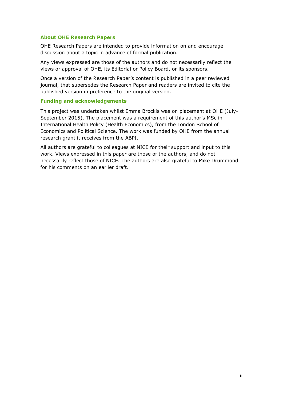#### **About OHE Research Papers**

OHE Research Papers are intended to provide information on and encourage discussion about a topic in advance of formal publication.

Any views expressed are those of the authors and do not necessarily reflect the views or approval of OHE, its Editorial or Policy Board, or its sponsors.

Once a version of the Research Paper's content is published in a peer reviewed journal, that supersedes the Research Paper and readers are invited to cite the published version in preference to the original version.

#### **Funding and acknowledgements**

This project was undertaken whilst Emma Brockis was on placement at OHE (July-September 2015). The placement was a requirement of this author's MSc in International Health Policy (Health Economics), from the London School of Economics and Political Science. The work was funded by OHE from the annual research grant it receives from the ABPI.

All authors are grateful to colleagues at NICE for their support and input to this work. Views expressed in this paper are those of the authors, and do not necessarily reflect those of NICE. The authors are also grateful to Mike Drummond for his comments on an earlier draft.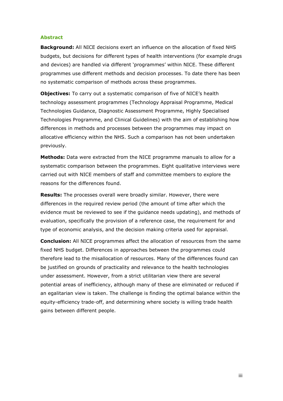#### **Abstract**

**Background:** All NICE decisions exert an influence on the allocation of fixed NHS budgets, but decisions for different types of health interventions (for example drugs and devices) are handled via different 'programmes' within NICE. These different programmes use different methods and decision processes. To date there has been no systematic comparison of methods across these programmes.

**Objectives:** To carry out a systematic comparison of five of NICE's health technology assessment programmes (Technology Appraisal Programme, Medical Technologies Guidance, Diagnostic Assessment Programme, Highly Specialised Technologies Programme, and Clinical Guidelines) with the aim of establishing how differences in methods and processes between the programmes may impact on allocative efficiency within the NHS. Such a comparison has not been undertaken previously.

**Methods:** Data were extracted from the NICE programme manuals to allow for a systematic comparison between the programmes. Eight qualitative interviews were carried out with NICE members of staff and committee members to explore the reasons for the differences found.

**Results:** The processes overall were broadly similar. However, there were differences in the required review period (the amount of time after which the evidence must be reviewed to see if the guidance needs updating), and methods of evaluation, specifically the provision of a reference case, the requirement for and type of economic analysis, and the decision making criteria used for appraisal.

**Conclusion:** All NICE programmes affect the allocation of resources from the same fixed NHS budget. Differences in approaches between the programmes could therefore lead to the misallocation of resources. Many of the differences found can be justified on grounds of practicality and relevance to the health technologies under assessment. However, from a strict utilitarian view there are several potential areas of inefficiency, although many of these are eliminated or reduced if an egalitarian view is taken. The challenge is finding the optimal balance within the equity-efficiency trade-off, and determining where society is willing trade health gains between different people.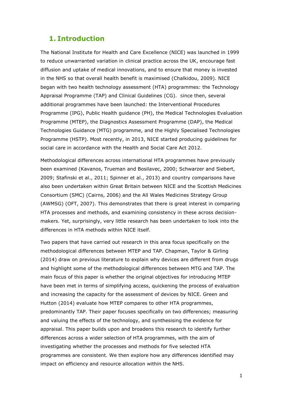## **1. Introduction**

The National Institute for Health and Care Excellence (NICE) was launched in 1999 to reduce unwarranted variation in clinical practice across the UK, encourage fast diffusion and uptake of medical innovations, and to ensure that money is invested in the NHS so that overall health benefit is maximised (Chalkidou, 2009). NICE began with two health technology assessment (HTA) programmes: the Technology Appraisal Programme (TAP) and Clinical Guidelines (CG). Since then, several additional programmes have been launched: the Interventional Procedures Programme (IPG), Public Health guidance (PH), the Medical Technologies Evaluation Programme (MTEP), the Diagnostics Assessment Programme (DAP), the Medical Technologies Guidance (MTG) programme, and the Highly Specialised Technologies Programme (HSTP). Most recently, in 2013, NICE started producing guidelines for social care in accordance with the Health and Social Care Act 2012.

Methodological differences across international HTA programmes have previously been examined (Kavanos, Trueman and Bosilavec, 2000; Schwarzer and Siebert, 2009; Stafinski et al., 2011; Spinner et al., 2013) and country comparisons have also been undertaken within Great Britain between NICE and the Scottish Medicines Consortium (SMC) (Cairns, 2006) and the All Wales Medicines Strategy Group (AWMSG) (OFT, 2007). This demonstrates that there is great interest in comparing HTA processes and methods, and examining consistency in these across decisionmakers. Yet, surprisingly, very little research has been undertaken to look into the differences in HTA methods within NICE itself.

Two papers that have carried out research in this area focus specifically on the methodological differences between MTEP and TAP. Chapman, Taylor & Girling (2014) draw on previous literature to explain why devices are different from drugs and highlight some of the methodological differences between MTG and TAP. The main focus of this paper is whether the original objectives for introducing MTEP have been met in terms of simplifying access, quickening the process of evaluation and increasing the capacity for the assessment of devices by NICE. Green and Hutton (2014) evaluate how MTEP compares to other HTA programmes, predominantly TAP. Their paper focuses specifically on two differences; measuring and valuing the effects of the technology, and synthesising the evidence for appraisal. This paper builds upon and broadens this research to identify further differences across a wider selection of HTA programmes, with the aim of investigating whether the processes and methods for five selected HTA programmes are consistent. We then explore how any differences identified may impact on efficiency and resource allocation within the NHS.

1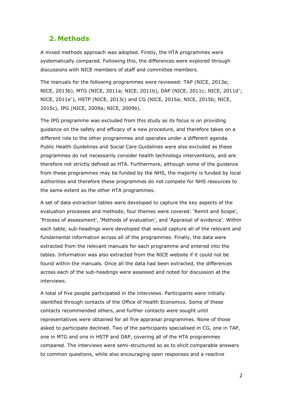## **2. Methods**

A mixed methods approach was adopted. Firstly, the HTA programmes were systematically compared. Following this, the differences were explored through discussions with NICE members of staff and committee members.

The manuals for the following programmes were reviewed: TAP (NICE, 2013a; NICE, 2013b), MTG (NICE, 2011a; NICE, 2011b), DAP (NICE, 2011c; NICE, 2011d† ; NICE, 2011e† ), HSTP (NICE, 2013c) and CG (NICE, 2015a; NICE, 2015b; NICE, 2015c), IPG (NICE, 2009a; NICE, 2009b).

The IPG programme was excluded from this study as its focus is on providing guidance on the safety and efficacy of a new procedure, and therefore takes on a different role to the other programmes and operates under a different agenda. Public Health Guidelines and Social Care Guidelines were also excluded as these programmes do not necessarily consider health technology interventions, and are therefore not strictly defined as HTA. Furthermore, although some of the guidance from these programmes may be funded by the NHS, the majority is funded by local authorities and therefore these programmes do not compete for NHS resources to the same extent as the other HTA programmes.

A set of data extraction tables were developed to capture the key aspects of the evaluation processes and methods; four themes were covered: 'Remit and Scope', 'Process of assessment', 'Methods of evaluation', and 'Appraisal of evidence'. Within each table, sub-headings were developed that would capture all of the relevant and fundamental information across all of the programmes. Finally, the data were extracted from the relevant manuals for each programme and entered into the tables. Information was also extracted from the NICE website if it could not be found within the manuals. Once all the data had been extracted, the differences across each of the sub-headings were assessed and noted for discussion at the interviews.

A total of five people participated in the interviews. Participants were initially identified through contacts of the Office of Health Economics. Some of these contacts recommended others, and further contacts were sought until representatives were obtained for all five appraisal programmes. None of those asked to participate declined. Two of the participants specialised in CG, one in TAP, one in MTG and one in HSTP and DAP, covering all of the HTA programmes compared. The interviews were semi-structured so as to elicit comparable answers to common questions, while also encouraging open responses and a reactive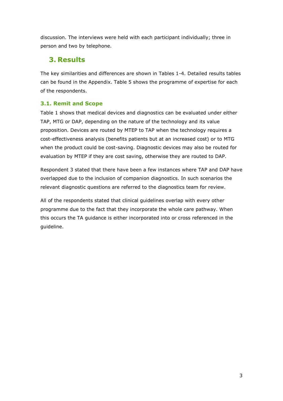discussion. The interviews were held with each participant individually; three in person and two by telephone.

## **3. Results**

The key similarities and differences are shown in Tables 1-4. Detailed results tables can be found in the Appendix. Table 5 shows the programme of expertise for each of the respondents.

## **3.1. Remit and Scope**

Table 1 shows that medical devices and diagnostics can be evaluated under either TAP, MTG or DAP, depending on the nature of the technology and its value proposition. Devices are routed by MTEP to TAP when the technology requires a cost-effectiveness analysis (benefits patients but at an increased cost) or to MTG when the product could be cost-saving. Diagnostic devices may also be routed for evaluation by MTEP if they are cost saving, otherwise they are routed to DAP.

Respondent 3 stated that there have been a few instances where TAP and DAP have overlapped due to the inclusion of companion diagnostics. In such scenarios the relevant diagnostic questions are referred to the diagnostics team for review.

All of the respondents stated that clinical guidelines overlap with every other programme due to the fact that they incorporate the whole care pathway. When this occurs the TA guidance is either incorporated into or cross referenced in the guideline.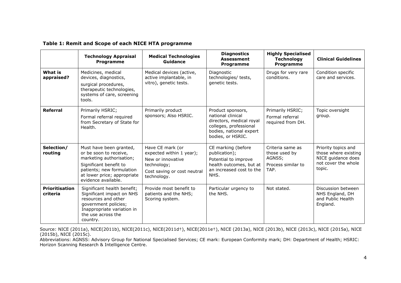|                            | <b>Technology Appraisal</b><br>Programme                                                                                                                                                   | <b>Medical Technologies</b><br>Guidance                                                                                        | <b>Diagnostics</b><br><b>Assessment</b><br>Programme                                                                                         | <b>Highly Specialised</b><br><b>Technology</b><br>Programme               | <b>Clinical Guidelines</b>                                                                         |
|----------------------------|--------------------------------------------------------------------------------------------------------------------------------------------------------------------------------------------|--------------------------------------------------------------------------------------------------------------------------------|----------------------------------------------------------------------------------------------------------------------------------------------|---------------------------------------------------------------------------|----------------------------------------------------------------------------------------------------|
| What is<br>appraised?      | Medicines, medical<br>devices, diagnostics,<br>surgical procedures,<br>therapeutic technologies,<br>systems of care, screening<br>tools.                                                   | Medical devices (active,<br>active implantable, in<br>vitro), genetic tests.                                                   | Diagnostic<br>technologies/ tests,<br>genetic tests.                                                                                         | Drugs for very rare<br>conditions.                                        | Condition specific<br>care and services.                                                           |
| <b>Referral</b>            | Primarily HSRIC;<br>Formal referral required<br>from Secretary of State for<br>Health.                                                                                                     | Primarily product<br>sponsors; Also HSRIC.                                                                                     | Product sponsors,<br>national clinical<br>directors, medical royal<br>colleges, professional<br>bodies, national expert<br>bodies, or HSRIC. | Primarily HSRIC;<br>Formal referral<br>required from DH.                  | Topic oversight<br>group.                                                                          |
| Selection/<br>routing      | Must have been granted,<br>or be soon to receive,<br>marketing authorisation;<br>Significant benefit to<br>patients; new formulation<br>at lower price; appropriate<br>evidence available. | Have CE mark (or<br>expected within 1 year);<br>New or innovative<br>technology;<br>Cost saving or cost neutral<br>technology. | CE marking (before<br>publication);<br>Potential to improve<br>health outcomes, but at<br>an increased cost to the<br>NHS.                   | Criteria same as<br>those used by<br>AGNSS;<br>Process similar to<br>TAP. | Priority topics and<br>those where existing<br>NICE guidance does<br>not cover the whole<br>topic. |
| Prioritisation<br>criteria | Significant health benefit;<br>Significant impact on NHS<br>resources and other<br>government policies;<br>Inappropriate variation in<br>the use across the<br>country.                    | Provide most benefit to<br>patients and the NHS;<br>Scoring system.                                                            | Particular urgency to<br>the NHS.                                                                                                            | Not stated.                                                               | Discussion between<br>NHS England, DH<br>and Public Health<br>England.                             |

**Table 1: Remit and Scope of each NICE HTA programme**

Source: NICE (2011a), NICE(2011b), NICE(2011c), NICE(2011d†), NICE(2011e†), NICE (2013a), NICE (2013b), NICE (2013c), NICE (2015a), NICE (2015b), NICE (2015c).

Abbreviations: AGNSS: Advisory Group for National Specialised Services; CE mark: European Conformity mark; DH: Department of Health; HSRIC: Horizon Scanning Research & Intelligence Centre.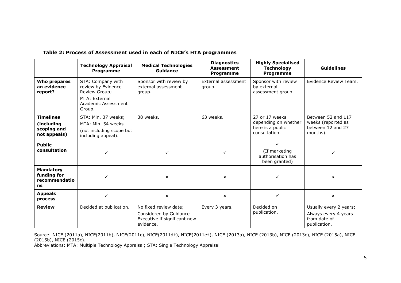|                                                               | <b>Technology Appraisal</b><br>Programme                                                                   | <b>Medical Technologies</b><br>Guidance                                                      | <b>Diagnostics</b><br><b>Assessment</b><br><b>Programme</b> | <b>Highly Specialised</b><br><b>Technology</b><br>Programme                 | <b>Guidelines</b>                                                              |
|---------------------------------------------------------------|------------------------------------------------------------------------------------------------------------|----------------------------------------------------------------------------------------------|-------------------------------------------------------------|-----------------------------------------------------------------------------|--------------------------------------------------------------------------------|
| Who prepares<br>an evidence<br>report?                        | STA: Company with<br>review by Evidence<br>Review Group;<br>MTA: External<br>Academic Assessment<br>Group. | Sponsor with review by<br>external assessment<br>group.                                      | External assessment<br>group.                               | Sponsor with review<br>by external<br>assessment group.                     | Evidence Review Team.                                                          |
| <b>Timelines</b><br>(including<br>scoping and<br>not appeals) | STA: Min. 37 weeks;<br>MTA: Min. 54 weeks<br>(not including scope but<br>including appeal).                | 38 weeks.                                                                                    | 63 weeks.                                                   | 27 or 17 weeks<br>depending on whether<br>here is a public<br>consultation. | Between 52 and 117<br>weeks (reported as<br>between 12 and 27<br>months).      |
| <b>Public</b><br>consultation                                 | ✓                                                                                                          |                                                                                              | $\checkmark$                                                | ✓<br>(If marketing<br>authorisation has<br>been granted)                    |                                                                                |
| <b>Mandatory</b><br>funding for<br>recommendatio<br>ns        | ✓                                                                                                          | ×                                                                                            | $\pmb{\times}$                                              | ✓                                                                           | ×                                                                              |
| <b>Appeals</b><br>process                                     | $\checkmark$                                                                                               | $\boldsymbol{\mathsf{x}}$                                                                    | $\pmb{\times}$                                              | $\checkmark$                                                                | $\mathbf x$                                                                    |
| <b>Review</b>                                                 | Decided at publication.                                                                                    | No fixed review date;<br>Considered by Guidance<br>Executive if significant new<br>evidence. | Every 3 years.                                              | Decided on<br>publication.                                                  | Usually every 2 years;<br>Always every 4 years<br>from date of<br>publication. |

#### **Table 2: Process of Assessment used in each of NICE's HTA programmes**

Source: NICE (2011a), NICE(2011b), NICE(2011c), NICE(2011d†), NICE(2011e†), NICE (2013a), NICE (2013b), NICE (2013c), NICE (2015a), NICE (2015b), NICE (2015c).

Abbreviations: MTA: Multiple Technology Appraisal; STA: Single Technology Appraisal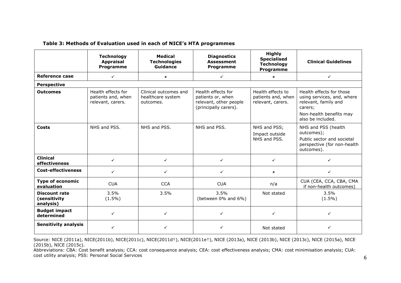#### **Table 3: Methods of Evaluation used in each of NICE's HTA programmes**

|                                                   | <b>Technology</b><br><b>Appraisal</b><br>Programme            | <b>Medical</b><br><b>Technologies</b><br>Guidance       | <b>Diagnostics</b><br><b>Assessment</b><br>Programme                                       | <b>Highly</b><br><b>Specialised</b><br><b>Technology</b><br>Programme | <b>Clinical Guidelines</b>                                                                                                                |
|---------------------------------------------------|---------------------------------------------------------------|---------------------------------------------------------|--------------------------------------------------------------------------------------------|-----------------------------------------------------------------------|-------------------------------------------------------------------------------------------------------------------------------------------|
| Reference case                                    | $\checkmark$                                                  | $\boldsymbol{\mathsf{x}}$                               | $\checkmark$                                                                               | $\pmb{\times}$                                                        | $\checkmark$                                                                                                                              |
| <b>Perspective</b>                                |                                                               |                                                         |                                                                                            |                                                                       |                                                                                                                                           |
| <b>Outcomes</b>                                   | Health effects for<br>patients and, when<br>relevant, carers. | Clinical outcomes and<br>healthcare system<br>outcomes. | Health effects for<br>patients or, when<br>relevant, other people<br>(principally carers). | Health effects to<br>patients and, when<br>relevant, carers.          | Health effects for those<br>using services, and, where<br>relevant, family and<br>carers;<br>Non-health benefits may<br>also be included. |
| Costs                                             | NHS and PSS.                                                  | NHS and PSS.                                            | NHS and PSS.                                                                               | NHS and PSS;<br>Impact outside<br>NHS and PSS.                        | NHS and PSS (health<br>outcomes);<br>Public sector and societal<br>perspective (for non-health<br>outcomes).                              |
| <b>Clinical</b><br>effectiveness                  | $\checkmark$                                                  | ✓                                                       | $\checkmark$                                                                               | $\checkmark$                                                          | ✓                                                                                                                                         |
| <b>Cost-effectiveness</b>                         | $\checkmark$                                                  | ✓                                                       | $\checkmark$                                                                               | $\pmb{\times}$                                                        | ✓                                                                                                                                         |
| <b>Type of economic</b><br>evaluation             | <b>CUA</b>                                                    | <b>CCA</b>                                              | <b>CUA</b>                                                                                 | n/a                                                                   | CUA (CEA, CCA, CBA, CMA<br>if non-health outcomes)                                                                                        |
| <b>Discount rate</b><br>(sensitivity<br>analysis) | 3.5%<br>$(1.5\%)$                                             | 3.5%                                                    | 3.5%<br>(between 0% and 6%)                                                                | Not stated                                                            | 3.5%<br>$(1.5\%)$                                                                                                                         |
| <b>Budget impact</b><br>determined                | $\checkmark$                                                  | ✓                                                       | ✓                                                                                          | $\checkmark$                                                          | ✓                                                                                                                                         |
| <b>Sensitivity analysis</b>                       |                                                               |                                                         |                                                                                            | Not stated                                                            |                                                                                                                                           |

Source: NICE (2011a), NICE(2011b), NICE(2011c), NICE(2011d†), NICE(2011e†), NICE (2013a), NICE (2013b), NICE (2013c), NICE (2015a), NICE (2015b), NICE (2015c).

Abbreviations: CBA: Cost benefit analysis; CCA: cost consequence analysis; CEA: cost effectiveness analysis; CMA: cost minimisation analysis; CUA: cost utility analysis; PSS: Personal Social Services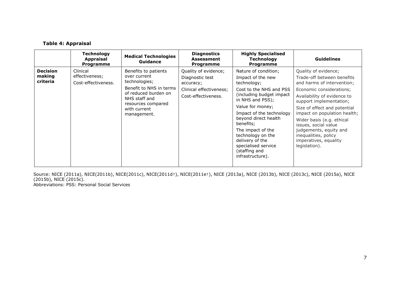#### **Table 4: Appraisal**

|                                       | <b>Technology</b><br><b>Appraisal</b><br><b>Programme</b> | <b>Medical Technologies</b><br>Guidance                                                                                                                                        | <b>Diagnostics</b><br><b>Assessment</b><br><b>Programme</b>                                            | <b>Highly Specialised</b><br><b>Technology</b><br>Programme                                                                                                                                                                                                                                                                                       | <b>Guidelines</b>                                                                                                                                                                                                                                                                                                                                                                       |
|---------------------------------------|-----------------------------------------------------------|--------------------------------------------------------------------------------------------------------------------------------------------------------------------------------|--------------------------------------------------------------------------------------------------------|---------------------------------------------------------------------------------------------------------------------------------------------------------------------------------------------------------------------------------------------------------------------------------------------------------------------------------------------------|-----------------------------------------------------------------------------------------------------------------------------------------------------------------------------------------------------------------------------------------------------------------------------------------------------------------------------------------------------------------------------------------|
| <b>Decision</b><br>making<br>criteria | Clinical<br>effectiveness;<br>Cost-effectiveness.         | Benefits to patients<br>over current<br>technologies;<br>Benefit to NHS in terms<br>of reduced burden on<br>NHS staff and<br>resources compared<br>with current<br>management. | Quality of evidence;<br>Diagnostic test<br>accuracy;<br>Clinical effectiveness;<br>Cost-effectiveness. | Nature of condition;<br>Impact of the new<br>technology;<br>Cost to the NHS and PSS<br>(including budget impact<br>in NHS and PSS);<br>Value for money;<br>Impact of the technology<br>beyond direct health<br>benefits;<br>The impact of the<br>technology on the<br>delivery of the<br>specialised service<br>(staffing and<br>infrastructure). | Quality of evidence;<br>Trade-off between benefits<br>and harms of intervention;<br>Economic considerations;<br>Availability of evidence to<br>support implementation;<br>Size of effect and potential<br>impact on population health;<br>Wider basis (e.g. ethical<br>issues, social value<br>judgements, equity and<br>inequalities, policy<br>imperatives, equality<br>legislation). |

Source: NICE (2011a), NICE(2011b), NICE(2011c), NICE(2011d†), NICE(2011e†), NICE (2013a), NICE (2013b), NICE (2013c), NICE (2015a), NICE (2015b), NICE (2015c).

Abbreviations: PSS: Personal Social Services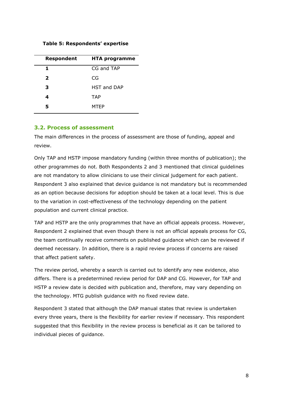#### **Table 5: Respondents' expertise**

| <b>Respondent</b> | <b>HTA programme</b> |
|-------------------|----------------------|
|                   | CG and TAP           |
| $\mathbf{z}$      | CG                   |
| 3                 | <b>HST and DAP</b>   |
| 4                 | <b>TAP</b>           |
| 5                 | MTEP                 |
|                   |                      |

#### **3.2. Process of assessment**

The main differences in the process of assessment are those of funding, appeal and review.

Only TAP and HSTP impose mandatory funding (within three months of publication); the other programmes do not. Both Respondents 2 and 3 mentioned that clinical guidelines are not mandatory to allow clinicians to use their clinical judgement for each patient. Respondent 3 also explained that device guidance is not mandatory but is recommended as an option because decisions for adoption should be taken at a local level. This is due to the variation in cost-effectiveness of the technology depending on the patient population and current clinical practice.

TAP and HSTP are the only programmes that have an official appeals process. However, Respondent 2 explained that even though there is not an official appeals process for CG, the team continually receive comments on published guidance which can be reviewed if deemed necessary. In addition, there is a rapid review process if concerns are raised that affect patient safety.

The review period, whereby a search is carried out to identify any new evidence, also differs. There is a predetermined review period for DAP and CG. However, for TAP and HSTP a review date is decided with publication and, therefore, may vary depending on the technology. MTG publish guidance with no fixed review date.

Respondent 3 stated that although the DAP manual states that review is undertaken every three years, there is the flexibility for earlier review if necessary. This respondent suggested that this flexibility in the review process is beneficial as it can be tailored to individual pieces of guidance.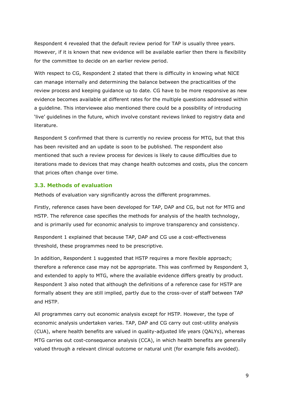Respondent 4 revealed that the default review period for TAP is usually three years. However, if it is known that new evidence will be available earlier then there is flexibility for the committee to decide on an earlier review period.

With respect to CG, Respondent 2 stated that there is difficulty in knowing what NICE can manage internally and determining the balance between the practicalities of the review process and keeping guidance up to date. CG have to be more responsive as new evidence becomes available at different rates for the multiple questions addressed within a guideline. This interviewee also mentioned there could be a possibility of introducing 'live' guidelines in the future, which involve constant reviews linked to registry data and literature.

Respondent 5 confirmed that there is currently no review process for MTG, but that this has been revisited and an update is soon to be published. The respondent also mentioned that such a review process for devices is likely to cause difficulties due to iterations made to devices that may change health outcomes and costs, plus the concern that prices often change over time.

#### **3.3. Methods of evaluation**

Methods of evaluation vary significantly across the different programmes.

Firstly, reference cases have been developed for TAP, DAP and CG, but not for MTG and HSTP. The reference case specifies the methods for analysis of the health technology, and is primarily used for economic analysis to improve transparency and consistency.

Respondent 1 explained that because TAP, DAP and CG use a cost-effectiveness threshold, these programmes need to be prescriptive.

In addition, Respondent 1 suggested that HSTP requires a more flexible approach; therefore a reference case may not be appropriate. This was confirmed by Respondent 3, and extended to apply to MTG, where the available evidence differs greatly by product. Respondent 3 also noted that although the definitions of a reference case for HSTP are formally absent they are still implied, partly due to the cross-over of staff between TAP and HSTP.

All programmes carry out economic analysis except for HSTP. However, the type of economic analysis undertaken varies. TAP, DAP and CG carry out cost-utility analysis (CUA), where health benefits are valued in quality-adjusted life years (QALYs), whereas MTG carries out cost-consequence analysis (CCA), in which health benefits are generally valued through a relevant clinical outcome or natural unit (for example falls avoided).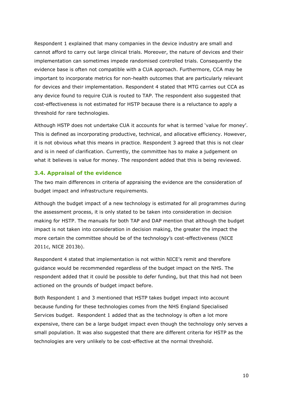Respondent 1 explained that many companies in the device industry are small and cannot afford to carry out large clinical trials. Moreover, the nature of devices and their implementation can sometimes impede randomised controlled trials. Consequently the evidence base is often not compatible with a CUA approach. Furthermore, CCA may be important to incorporate metrics for non-health outcomes that are particularly relevant for devices and their implementation. Respondent 4 stated that MTG carries out CCA as any device found to require CUA is routed to TAP. The respondent also suggested that cost-effectiveness is not estimated for HSTP because there is a reluctance to apply a threshold for rare technologies.

Although HSTP does not undertake CUA it accounts for what is termed 'value for money'. This is defined as incorporating productive, technical, and allocative efficiency. However, it is not obvious what this means in practice. Respondent 3 agreed that this is not clear and is in need of clarification. Currently, the committee has to make a judgement on what it believes is value for money. The respondent added that this is being reviewed.

#### **3.4. Appraisal of the evidence**

The two main differences in criteria of appraising the evidence are the consideration of budget impact and infrastructure requirements.

Although the budget impact of a new technology is estimated for all programmes during the assessment process, it is only stated to be taken into consideration in decision making for HSTP. The manuals for both TAP and DAP mention that although the budget impact is not taken into consideration in decision making, the greater the impact the more certain the committee should be of the technology's cost-effectiveness (NICE 2011c, NICE 2013b).

Respondent 4 stated that implementation is not within NICE's remit and therefore guidance would be recommended regardless of the budget impact on the NHS. The respondent added that it could be possible to defer funding, but that this had not been actioned on the grounds of budget impact before.

Both Respondent 1 and 3 mentioned that HSTP takes budget impact into account because funding for these technologies comes from the NHS England Specialised Services budget. Respondent 1 added that as the technology is often a lot more expensive, there can be a large budget impact even though the technology only serves a small population. It was also suggested that there are different criteria for HSTP as the technologies are very unlikely to be cost-effective at the normal threshold.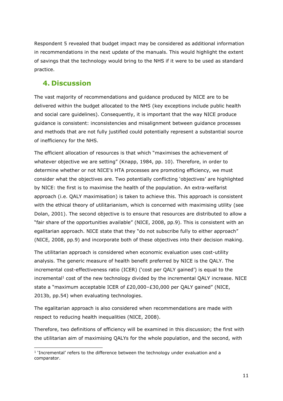Respondent 5 revealed that budget impact may be considered as additional information in recommendations in the next update of the manuals. This would highlight the extent of savings that the technology would bring to the NHS if it were to be used as standard practice.

## **4. Discussion**

-

The vast majority of recommendations and guidance produced by NICE are to be delivered within the budget allocated to the NHS (key exceptions include public health and social care guidelines). Consequently, it is important that the way NICE produce guidance is consistent: inconsistencies and misalignment between guidance processes and methods that are not fully justified could potentially represent a substantial source of inefficiency for the NHS.

The efficient allocation of resources is that which "maximises the achievement of whatever objective we are setting" (Knapp, 1984, pp. 10). Therefore, in order to determine whether or not NICE's HTA processes are promoting efficiency, we must consider what the objectives are. Two potentially conflicting 'objectives' are highlighted by NICE: the first is to maximise the health of the population. An extra-welfarist approach (i.e. QALY maximisation) is taken to achieve this. This approach is consistent with the ethical theory of utilitarianism, which is concerned with maximising utility (see Dolan, 2001). The second objective is to ensure that resources are distributed to allow a "fair share of the opportunities available" (NICE, 2008, pp.9). This is consistent with an egalitarian approach. NICE state that they "do not subscribe fully to either approach" (NICE, 2008, pp.9) and incorporate both of these objectives into their decision making.

The utilitarian approach is considered when economic evaluation uses cost-utility analysis. The generic measure of health benefit preferred by NICE is the QALY. The incremental cost-effectiveness ratio (ICER) ('cost per QALY gained') is equal to the  $interceptation$  cost of the new technology divided by the incremental QALY increase. NICE state a "maximum acceptable ICER of £20,000–£30,000 per QALY gained" (NICE, 2013b, pp.54) when evaluating technologies.

The egalitarian approach is also considered when recommendations are made with respect to reducing health inequalities (NICE, 2008).

Therefore, two definitions of efficiency will be examined in this discussion; the first with the utilitarian aim of maximising QALYs for the whole population, and the second, with

<sup>&</sup>lt;sup>1</sup> 'Incremental' refers to the difference between the technology under evaluation and a comparator.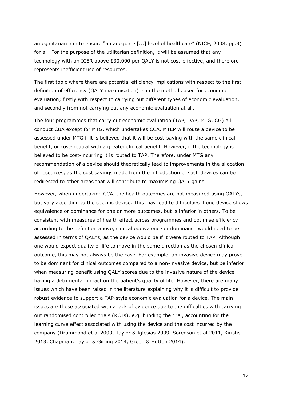an egalitarian aim to ensure "an adequate [...] level of healthcare" (NICE, 2008, pp.9) for all. For the purpose of the utilitarian definition, it will be assumed that any technology with an ICER above £30,000 per QALY is not cost-effective, and therefore represents inefficient use of resources.

The first topic where there are potential efficiency implications with respect to the first definition of efficiency (QALY maximisation) is in the methods used for economic evaluation; firstly with respect to carrying out different types of economic evaluation, and secondly from not carrying out any economic evaluation at all.

The four programmes that carry out economic evaluation (TAP, DAP, MTG, CG) all conduct CUA except for MTG, which undertakes CCA. MTEP will route a device to be assessed under MTG if it is believed that it will be cost-saving with the same clinical benefit, or cost-neutral with a greater clinical benefit. However, if the technology is believed to be cost-incurring it is routed to TAP. Therefore, under MTG any recommendation of a device should theoretically lead to improvements in the allocation of resources, as the cost savings made from the introduction of such devices can be redirected to other areas that will contribute to maximising QALY gains.

However, when undertaking CCA, the health outcomes are not measured using QALYs, but vary according to the specific device. This may lead to difficulties if one device shows equivalence or dominance for one or more outcomes, but is inferior in others. To be consistent with measures of health effect across programmes and optimise efficiency according to the definition above, clinical equivalence or dominance would need to be assessed in terms of QALYs, as the device would be if it were routed to TAP. Although one would expect quality of life to move in the same direction as the chosen clinical outcome, this may not always be the case. For example, an invasive device may prove to be dominant for clinical outcomes compared to a non-invasive device, but be inferior when measuring benefit using QALY scores due to the invasive nature of the device having a detrimental impact on the patient's quality of life. However, there are many issues which have been raised in the literature explaining why it is difficult to provide robust evidence to support a TAP-style economic evaluation for a device. The main issues are those associated with a lack of evidence due to the difficulties with carrying out randomised controlled trials (RCTs), e.g. blinding the trial, accounting for the learning curve effect associated with using the device and the cost incurred by the company (Drummond et al 2009, Taylor & Iglesias 2009, Sorenson et al 2011, Kiristis 2013, Chapman, Taylor & Girling 2014, Green & Hutton 2014).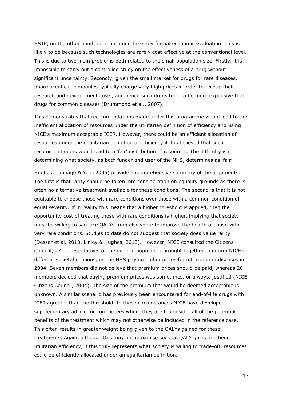HSTP, on the other hand, does not undertake any formal economic evaluation. This is likely to be because such technologies are rarely cost-effective at the conventional level. This is due to two main problems both related to the small population size. Firstly, it is impossible to carry out a controlled study on the effectiveness of a drug without significant uncertainty. Secondly, given the small market for drugs for rare diseases, pharmaceutical companies typically charge very high prices in order to recoup their research and development costs, and hence such drugs tend to be more expensive than drugs for common diseases (Drummond et al., 2007).

This demonstrates that recommendations made under this programme would lead to the inefficient allocation of resources under the utilitarian definition of efficiency and using NICE's maximum acceptable ICER. However, there could be an efficient allocation of resources under the egalitarian definition of efficiency if it is believed that such recommendations would lead to a 'fair' distribution of resources. The difficulty is in determining what society, as both funder and user of the NHS, determines as 'fair'.

Hughes, Tunnage & Yeo (2005) provide a comprehensive summary of the arguments. The first is that rarity should be taken into consideration on equality grounds as there is often no alternative treatment available for these conditions. The second is that it is not equitable to choose those with rare conditions over those with a common condition of equal severity. If in reality this means that a higher threshold is applied, then the opportunity cost of treating those with rare conditions is higher, implying that society must be willing to sacrifice QALYs from elsewhere to improve the health of those with very rare conditions. Studies to date do not suggest that society does value rarity (Desser et al. 2010, Linley & Hughes, 2013). However, NICE consulted the Citizens Council, 27 representatives of the general population brought together to inform NICE on different societal opinions, on the NHS paying higher prices for ultra-orphan diseases in 2004. Seven members did not believe that premium prices should be paid, whereas 20 members decided that paying premium prices was sometimes, or always, justified (NICE Citizens Council, 2004). The size of the premium that would be deemed acceptable is unknown. A similar scenario has previously been encountered for end-of-life drugs with ICERs greater than the threshold. In these circumstances NICE have developed supplementary advice for committees where they are to consider all of the potential benefits of the treatment which may not otherwise be included in the reference case. This often results in greater weight being given to the QALYs gained for these treatments. Again, although this may not maximise societal QALY gains and hence utilitarian efficiency, if this truly represents what society is willing to trade-off, resources could be efficiently allocated under an egalitarian definition.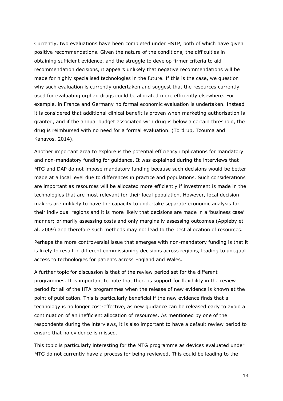Currently, two evaluations have been completed under HSTP, both of which have given positive recommendations. Given the nature of the conditions, the difficulties in obtaining sufficient evidence, and the struggle to develop firmer criteria to aid recommendation decisions, it appears unlikely that negative recommendations will be made for highly specialised technologies in the future. If this is the case, we question why such evaluation is currently undertaken and suggest that the resources currently used for evaluating orphan drugs could be allocated more efficiently elsewhere. For example, in France and Germany no formal economic evaluation is undertaken. Instead it is considered that additional clinical benefit is proven when marketing authorisation is granted, and if the annual budget associated with drug is below a certain threshold, the drug is reimbursed with no need for a formal evaluation. (Tordrup, Tzouma and Kanavos, 2014).

Another important area to explore is the potential efficiency implications for mandatory and non-mandatory funding for guidance. It was explained during the interviews that MTG and DAP do not impose mandatory funding because such decisions would be better made at a local level due to differences in practice and populations. Such considerations are important as resources will be allocated more efficiently if investment is made in the technologies that are most relevant for their local population. However, local decision makers are unlikely to have the capacity to undertake separate economic analysis for their individual regions and it is more likely that decisions are made in a 'business case' manner; primarily assessing costs and only marginally assessing outcomes (Appleby et al. 2009) and therefore such methods may not lead to the best allocation of resources.

Perhaps the more controversial issue that emerges with non-mandatory funding is that it is likely to result in different commissioning decisions across regions, leading to unequal access to technologies for patients across England and Wales.

A further topic for discussion is that of the review period set for the different programmes. It is important to note that there is support for flexibility in the review period for all of the HTA programmes when the release of new evidence is known at the point of publication. This is particularly beneficial if the new evidence finds that a technology is no longer cost-effective, as new guidance can be released early to avoid a continuation of an inefficient allocation of resources. As mentioned by one of the respondents during the interviews, it is also important to have a default review period to ensure that no evidence is missed.

This topic is particularly interesting for the MTG programme as devices evaluated under MTG do not currently have a process for being reviewed. This could be leading to the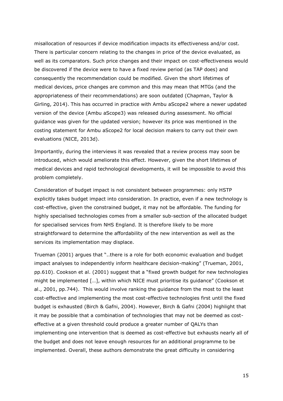misallocation of resources if device modification impacts its effectiveness and/or cost. There is particular concern relating to the changes in price of the device evaluated, as well as its comparators. Such price changes and their impact on cost-effectiveness would be discovered if the device were to have a fixed review period (as TAP does) and consequently the recommendation could be modified. Given the short lifetimes of medical devices, price changes are common and this may mean that MTGs (and the appropriateness of their recommendations) are soon outdated (Chapman, Taylor & Girling, 2014). This has occurred in practice with Ambu aScope2 where a newer updated version of the device (Ambu aScope3) was released during assessment. No official guidance was given for the updated version; however its price was mentioned in the costing statement for Ambu aScope2 for local decision makers to carry out their own evaluations (NICE, 2013d).

Importantly, during the interviews it was revealed that a review process may soon be introduced, which would ameliorate this effect. However, given the short lifetimes of medical devices and rapid technological developments, it will be impossible to avoid this problem completely.

Consideration of budget impact is not consistent between programmes: only HSTP explicitly takes budget impact into consideration. In practice, even if a new technology is cost-effective, given the constrained budget, it may not be affordable. The funding for highly specialised technologies comes from a smaller sub-section of the allocated budget for specialised services from NHS England. It is therefore likely to be more straightforward to determine the affordability of the new intervention as well as the services its implementation may displace.

Trueman (2001) argues that "..there is a role for both economic evaluation and budget impact analyses to independently inform healthcare decision-making" (Trueman, 2001, pp.610). Cookson et al. (2001) suggest that a "fixed growth budget for new technologies might be implemented […], within which NICE must prioritise its guidance" (Cookson et al., 2001, pp.744). This would involve ranking the guidance from the most to the least cost-effective and implementing the most cost-effective technologies first until the fixed budget is exhausted (Birch & Gafni, 2004). However, Birch & Gafni (2004) highlight that it may be possible that a combination of technologies that may not be deemed as costeffective at a given threshold could produce a greater number of QALYs than implementing one intervention that is deemed as cost-effective but exhausts nearly all of the budget and does not leave enough resources for an additional programme to be implemented. Overall, these authors demonstrate the great difficulty in considering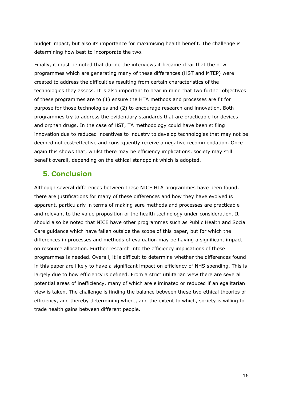budget impact, but also its importance for maximising health benefit. The challenge is determining how best to incorporate the two.

Finally, it must be noted that during the interviews it became clear that the new programmes which are generating many of these differences (HST and MTEP) were created to address the difficulties resulting from certain characteristics of the technologies they assess. It is also important to bear in mind that two further objectives of these programmes are to (1) ensure the HTA methods and processes are fit for purpose for those technologies and (2) to encourage research and innovation. Both programmes try to address the evidentiary standards that are practicable for devices and orphan drugs. In the case of HST, TA methodology could have been stifling innovation due to reduced incentives to industry to develop technologies that may not be deemed not cost-effective and consequently receive a negative recommendation. Once again this shows that, whilst there may be efficiency implications, society may still benefit overall, depending on the ethical standpoint which is adopted.

## **5. Conclusion**

Although several differences between these NICE HTA programmes have been found, there are justifications for many of these differences and how they have evolved is apparent, particularly in terms of making sure methods and processes are practicable and relevant to the value proposition of the health technology under consideration. It should also be noted that NICE have other programmes such as Public Health and Social Care guidance which have fallen outside the scope of this paper, but for which the differences in processes and methods of evaluation may be having a significant impact on resource allocation. Further research into the efficiency implications of these programmes is needed. Overall, it is difficult to determine whether the differences found in this paper are likely to have a significant impact on efficiency of NHS spending. This is largely due to how efficiency is defined. From a strict utilitarian view there are several potential areas of inefficiency, many of which are eliminated or reduced if an egalitarian view is taken. The challenge is finding the balance between these two ethical theories of efficiency, and thereby determining where, and the extent to which, society is willing to trade health gains between different people.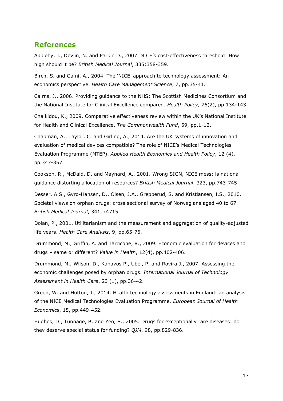## **References**

Appleby, J., Devlin, N. and Parkin D., 2007. NICE's cost-effectiveness threshold: How high should it be? *British Medical Journal*, 335:358-359.

Birch, S. and Gafni, A., 2004. The 'NICE' approach to technology assessment: An economics perspective. *Health Care Management Science*, 7, pp.35-41.

Cairns, J., 2006. Providing guidance to the NHS: The Scottish Medicines Consortium and the National Institute for Clinical Excellence compared. *Health Policy*, 76(2), pp.134-143.

Chalkidou, K., 2009. Comparative effectiveness review within the UK's National Institute for Health and Clinical Excellence. *The Commonwealth Fund*, 59, pp.1-12.

Chapman, A., Taylor, C. and Girling, A., 2014. Are the UK systems of innovation and evaluation of medical devices compatible? The role of NICE's Medical Technologies Evaluation Programme (MTEP). *Applied Health Economics and Health Policy*, 12 (4), pp.347-357.

Cookson, R., McDaid, D. and Maynard, A., 2001. Wrong SIGN, NICE mess: is national guidance distorting allocation of resources? *British Medical Journal*, 323, pp.743-745

Desser, A.S., Gyrd-Hansen, D., Olsen, J.A., Grepperud, S. and Kristiansen, I.S., 2010. Societal views on orphan drugs: cross sectional survey of Norwegians aged 40 to 67. *British Medical Journal*, 341, c4715.

Dolan, P., 2001. Utilitarianism and the measurement and aggregation of quality-adjusted life years. *Health Care Analysis*, 9, pp.65-76.

Drummond, M., Griffin, A. and Tarricone, R., 2009. Economic evaluation for devices and drugs – same or different? *Value in Health*, 12(4), pp.402-406.

Drummond, M., Wilson, D., Kanavos P., Ubel, P. and Rovira J., 2007. Assessing the economic challenges posed by orphan drugs. *International Journal of Technology Assessment in Health Care*, 23 (1), pp.36-42.

Green, W. and Hutton, J., 2014. Health technology assessments in England: an analysis of the NICE Medical Technologies Evaluation Programme. *European Journal of Health Economics*, 15, pp.449-452.

Hughes, D., Tunnage, B. and Yeo, S., 2005. Drugs for exceptionally rare diseases: do they deserve special status for funding? *QJM*, 98, pp.829-836.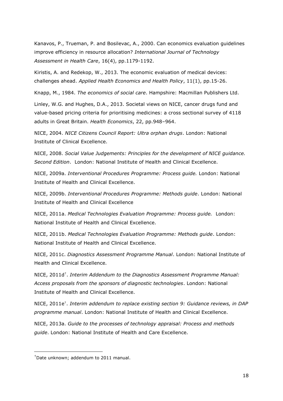Kanavos, P., Trueman, P. and Bosilevac, A., 2000. Can economics evaluation guidelines improve efficiency in resource allocation? *International Journal of Technology Assessment in Health Care*, 16(4), pp.1179-1192.

Kiristis, A. and Redekop, W., 2013. The economic evaluation of medical devices: challenges ahead. *Applied Health Economics and Health Policy*, 11(1), pp.15-26.

Knapp, M., 1984. *The economics of social care*. Hampshire: Macmillan Publishers Ltd.

Linley, W.G. and Hughes, D.A., 2013. Societal views on NICE, cancer drugs fund and value-based pricing criteria for prioritising medicines: a cross sectional survey of 4118 adults in Great Britain. *Health Economics*, 22, pp.948–964.

NICE, 2004. *NICE Citizens Council Report: Ultra orphan drugs*. London: National Institute of Clinical Excellence.

NICE, 2008. *Social Value Judgements: Principles for the development of NICE guidance. Second Edition*. London: National Institute of Health and Clinical Excellence.

NICE, 2009a. *Interventional Procedures Programme: Process guide.* London: National Institute of Health and Clinical Excellence.

NICE, 2009b. *Interventional Procedures Programme: Methods guide*. London: National Institute of Health and Clinical Excellence

NICE, 2011a. *Medical Technologies Evaluation Programme: Process guide.* London: National Institute of Health and Clinical Excellence.

NICE, 2011b. *Medical Technologies Evaluation Programme: Methods guide*. London: National Institute of Health and Clinical Excellence.

NICE, 2011c. *Diagnostics Assessment Programme Manual*. London: National Institute of Health and Clinical Excellence.

NICE, 2011d† . *Interim Addendum to the Diagnostics Assessment Programme Manual: Access proposals from the sponsors of diagnostic technologies*. London: National Institute of Health and Clinical Excellence.

NICE, 2011e† . *Interim addendum to replace existing section 9: Guidance reviews, in DAP programme manual*. London: National Institute of Health and Clinical Excellence.

NICE, 2013a. *Guide to the processes of technology appraisal: Process and methods guide*. London: National Institute of Health and Care Excellence.

-

 $<sup>†</sup>$ Date unknown; addendum to 2011 manual.</sup>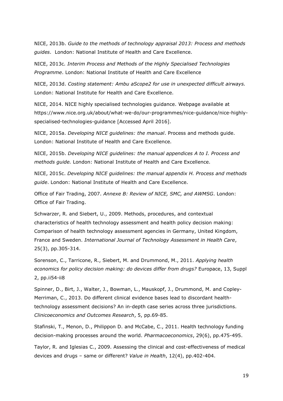NICE, 2013b. *Guide to the methods of technology appraisal 2013: Process and methods guides*. London: National Institute of Health and Care Excellence.

NICE, 2013c*. Interim Process and Methods of the Highly Specialised Technologies Programme*. London: National Institute of Health and Care Excellence

NICE, 2013d. *Costing statement: Ambu aScope2 for use in unexpected difficult airways.* London: National Institute for Health and Care Excellence.

NICE, 2014. NICE highly specialised technologies guidance. Webpage available at https://www.nice.org.uk/about/what-we-do/our-programmes/nice-guidance/nice-highlyspecialised-technologies-guidance [Accessed April 2016].

NICE, 2015a. *Developing NICE guidelines: the manual*. Process and methods guide. London: National Institute of Health and Care Excellence.

NICE, 2015b. *Developing NICE guidelines: the manual appendices A to I. Process and methods guide.* London: National Institute of Health and Care Excellence.

NICE, 2015c. *Developing NICE guidelines: the manual appendix H. Process and methods guide*. London: National Institute of Health and Care Excellence.

Office of Fair Trading, 2007. *Annexe B: Review of NICE, SMC, and AWMSG*. London: Office of Fair Trading.

Schwarzer, R. and Siebert, U., 2009. Methods, procedures, and contextual characteristics of health technology assessment and health policy decision making: Comparison of health technology assessment agencies in Germany, United Kingdom, France and Sweden. *International Journal of Technology Assessment in Health Care*, 25(3), pp.305-314.

Sorenson, C., Tarricone, R., Siebert, M. and Drummond, M., 2011. *Applying health economics for policy decision making: do devices differ from drugs?* Europace, 13, Suppl 2, pp.ii54-ii8

Spinner, D., Birt, J., Walter, J., Bowman, L., Mauskopf, J., Drummond, M. and Copley-Merriman, C., 2013. Do different clinical evidence bases lead to discordant healthtechnology assessment decisions? An in-depth case series across three jurisdictions. *Clinicoeconomics and Outcomes Research*, 5, pp.69-85.

Stafinski, T., Menon, D., Philippon D. and McCabe, C., 2011. Health technology funding decision-making processes around the world. *Pharmacoeconomics*, 29(6), pp.475-495.

Taylor, R. and Iglesias C., 2009. Assessing the clinical and cost-effectiveness of medical devices and drugs – same or different? *Value in Health*, 12(4), pp.402-404.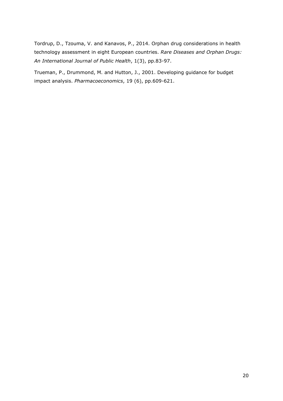Tordrup, D., Tzouma, V. and Kanavos, P., 2014. Orphan drug considerations in health technology assessment in eight European countries. *Rare Diseases and Orphan Drugs: An International Journal of Public Health*, 1(3), pp.83-97.

Trueman, P., Drummond, M. and Hutton, J., 2001. Developing guidance for budget impact analysis. *Pharmacoeconomics*, 19 (6), pp.609-621.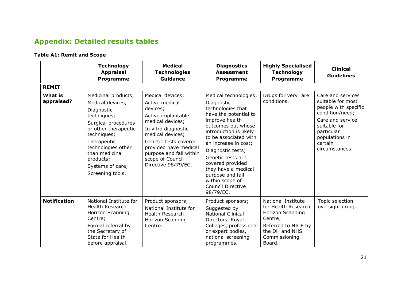## **Appendix: Detailed results tables**

## **Table A1: Remit and Scope**

|                              | <b>Technology</b><br><b>Appraisal</b><br><b>Programme</b>                                                                                                                                                                                      | <b>Medical</b><br><b>Technologies</b><br><b>Guidance</b>                                                                                                                                                                                                    | <b>Diagnostics</b><br><b>Assessment</b><br><b>Programme</b>                                                                                                                                                                                                                                                                                                               | <b>Highly Specialised</b><br><b>Technology</b><br><b>Programme</b>                                                                           | <b>Clinical</b><br><b>Guidelines</b>                                                                                                                                               |
|------------------------------|------------------------------------------------------------------------------------------------------------------------------------------------------------------------------------------------------------------------------------------------|-------------------------------------------------------------------------------------------------------------------------------------------------------------------------------------------------------------------------------------------------------------|---------------------------------------------------------------------------------------------------------------------------------------------------------------------------------------------------------------------------------------------------------------------------------------------------------------------------------------------------------------------------|----------------------------------------------------------------------------------------------------------------------------------------------|------------------------------------------------------------------------------------------------------------------------------------------------------------------------------------|
| <b>REMIT</b>                 |                                                                                                                                                                                                                                                |                                                                                                                                                                                                                                                             |                                                                                                                                                                                                                                                                                                                                                                           |                                                                                                                                              |                                                                                                                                                                                    |
| <b>What is</b><br>appraised? | Medicinal products;<br>Medical devices;<br>Diagnostic<br>techniques;<br>Surgical procedures<br>or other therapeutic<br>techniques;<br>Therapeutic<br>technologies other<br>than medicinal<br>products;<br>Systems of care;<br>Screening tools. | Medical devices;<br>Active medical<br>devices;<br>Active implantable<br>medical devices;<br>In vitro diagnostic<br>medical devices;<br>Genetic tests covered<br>provided have medical<br>purpose and fall within<br>scope of Council<br>Directive 98/79/EC. | Medical technologies;<br>Diagnostic<br>technologies that<br>have the potential to<br>improve health<br>outcomes but whose<br>introduction is likely<br>to be associated with<br>an increase in cost;<br>Diagnostic tests;<br>Genetic tests are<br>covered provided<br>they have a medical<br>purpose and fall<br>within scope of<br><b>Council Directive</b><br>98/79/EC. | Drugs for very rare<br>conditions.                                                                                                           | Care and services<br>suitable for most<br>people with specific<br>condition/need;<br>Care and service<br>suitable for<br>particular<br>populations in<br>certain<br>circumstances. |
| <b>Notification</b>          | National Institute for<br><b>Health Research</b><br>Horizon Scanning<br>Centre;<br>Formal referral by<br>the Secretary of<br>State for Health<br>before appraisal.                                                                             | Product sponsors;<br>National Institute for<br><b>Health Research</b><br>Horizon Scanning<br>Centre.                                                                                                                                                        | Product sponsors;<br>Suggested by<br><b>National Clinical</b><br>Directors, Royal<br>Colleges, professional<br>or expert bodies,<br>national screening<br>programmes.                                                                                                                                                                                                     | National Institute<br>for Health Research<br>Horizon Scanning<br>Centre;<br>Referred to NICE by<br>the DH and NHS<br>Commissioning<br>Board. | Topic selection<br>oversight group.                                                                                                                                                |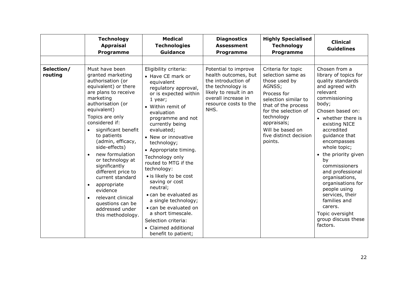|                       | <b>Technology</b><br><b>Appraisal</b><br><b>Programme</b>                                                                                                                                                                                                                                                                                                                                                                                                                                | <b>Medical</b><br><b>Technologies</b><br>Guidance                                                                                                                                                                                                                                                                                                                                                                                                                                                                                                                    | <b>Diagnostics</b><br><b>Assessment</b><br>Programme                                                                                                                       | <b>Highly Specialised</b><br><b>Technology</b><br><b>Programme</b>                                                                                                                                                                             | <b>Clinical</b><br><b>Guidelines</b>                                                                                                                                                                                                                                                                                                                                                                                                                                      |
|-----------------------|------------------------------------------------------------------------------------------------------------------------------------------------------------------------------------------------------------------------------------------------------------------------------------------------------------------------------------------------------------------------------------------------------------------------------------------------------------------------------------------|----------------------------------------------------------------------------------------------------------------------------------------------------------------------------------------------------------------------------------------------------------------------------------------------------------------------------------------------------------------------------------------------------------------------------------------------------------------------------------------------------------------------------------------------------------------------|----------------------------------------------------------------------------------------------------------------------------------------------------------------------------|------------------------------------------------------------------------------------------------------------------------------------------------------------------------------------------------------------------------------------------------|---------------------------------------------------------------------------------------------------------------------------------------------------------------------------------------------------------------------------------------------------------------------------------------------------------------------------------------------------------------------------------------------------------------------------------------------------------------------------|
|                       |                                                                                                                                                                                                                                                                                                                                                                                                                                                                                          |                                                                                                                                                                                                                                                                                                                                                                                                                                                                                                                                                                      |                                                                                                                                                                            |                                                                                                                                                                                                                                                |                                                                                                                                                                                                                                                                                                                                                                                                                                                                           |
| Selection/<br>routing | Must have been<br>granted marketing<br>authorisation (or<br>equivalent) or there<br>are plans to receive<br>marketing<br>authorisation (or<br>equivalent)<br>Topics are only<br>considered if:<br>significant benefit<br>to patients<br>(admin, efficacy,<br>side-effects)<br>new formulation<br>or technology at<br>significantly<br>different price to<br>current standard<br>appropriate<br>evidence<br>relevant clinical<br>questions can be<br>addressed under<br>this methodology. | Eligibility criteria:<br>• Have CE mark or<br>equivalent<br>regulatory approval,<br>or is expected within<br>1 year;<br>• Within remit of<br>evaluation<br>programme and not<br>currently being<br>evaluated;<br>• New or innovative<br>technology;<br>• Appropriate timing.<br>Technology only<br>routed to MTG if the<br>technology:<br>• is likely to be cost<br>saving or cost<br>neutral;<br>• can be evaluated as<br>a single technology;<br>• can be evaluated on<br>a short timescale.<br>Selection criteria:<br>• Claimed additional<br>benefit to patient; | Potential to improve<br>health outcomes, but<br>the introduction of<br>the technology is<br>likely to result in an<br>overall increase in<br>resource costs to the<br>NHS. | Criteria for topic<br>selection same as<br>those used by<br>AGNSS;<br>Process for<br>selection similar to<br>that of the process<br>for the selection of<br>technology<br>appraisals;<br>Will be based on<br>five distinct decision<br>points. | Chosen from a<br>library of topics for<br>quality standards<br>and agreed with<br>relevant<br>commissioning<br>body;<br>Chosen based on:<br>• whether there is<br>existing NICE<br>accredited<br>guidance that<br>encompasses<br>whole topic;<br>the priority given<br>by<br>commissioners<br>and professional<br>organisations,<br>organisations for<br>people using<br>services, their<br>families and<br>carers.<br>Topic oversight<br>group discuss these<br>factors. |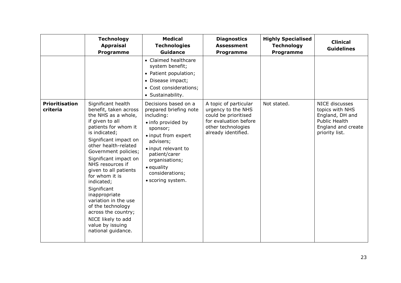|                                   | <b>Technology</b><br><b>Appraisal</b><br><b>Programme</b>                                                                                                                                                                                                                                                                                                                                                                                                                         | <b>Medical</b><br><b>Technologies</b><br><b>Guidance</b>                                                                                                                                                                                           | <b>Diagnostics</b><br><b>Assessment</b><br><b>Programme</b>                                                                               | <b>Highly Specialised</b><br><b>Technology</b><br><b>Programme</b> | <b>Clinical</b><br><b>Guidelines</b>                                                                                 |
|-----------------------------------|-----------------------------------------------------------------------------------------------------------------------------------------------------------------------------------------------------------------------------------------------------------------------------------------------------------------------------------------------------------------------------------------------------------------------------------------------------------------------------------|----------------------------------------------------------------------------------------------------------------------------------------------------------------------------------------------------------------------------------------------------|-------------------------------------------------------------------------------------------------------------------------------------------|--------------------------------------------------------------------|----------------------------------------------------------------------------------------------------------------------|
|                                   |                                                                                                                                                                                                                                                                                                                                                                                                                                                                                   | • Claimed healthcare<br>system benefit;<br>• Patient population;<br>• Disease impact;<br>• Cost considerations;<br>• Sustainability.                                                                                                               |                                                                                                                                           |                                                                    |                                                                                                                      |
| <b>Prioritisation</b><br>criteria | Significant health<br>benefit, taken across<br>the NHS as a whole,<br>if given to all<br>patients for whom it<br>is indicated;<br>Significant impact on<br>other health-related<br>Government policies;<br>Significant impact on<br>NHS resources if<br>given to all patients<br>for whom it is<br>indicated;<br>Significant<br>inappropriate<br>variation in the use<br>of the technology<br>across the country;<br>NICE likely to add<br>value by issuing<br>national guidance. | Decisions based on a<br>prepared briefing note<br>including:<br>· info provided by<br>sponsor;<br>• input from expert<br>advisers;<br>• input relevant to<br>patient/carer<br>organisations;<br>• equality<br>considerations;<br>· scoring system. | A topic of particular<br>urgency to the NHS<br>could be prioritised<br>for evaluation before<br>other technologies<br>already identified. | Not stated.                                                        | NICE discusses<br>topics with NHS<br>England, DH and<br><b>Public Health</b><br>England and create<br>priority list. |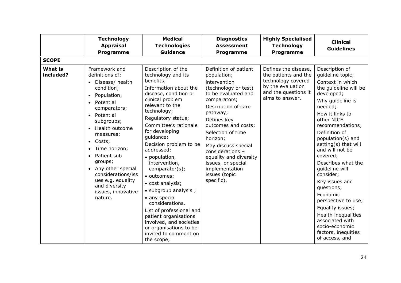|                             | <b>Technology</b><br><b>Appraisal</b><br>Programme                                                                                                                                                                                                                                                                                                                                                                                                                  | <b>Medical</b><br><b>Technologies</b><br>Guidance                                                                                                                                                                                                                                                                                                                                                                                                                                                                                                                                        | <b>Diagnostics</b><br><b>Assessment</b><br>Programme                                                                                                                                                                                                                                                                                                                      | <b>Highly Specialised</b><br><b>Technology</b><br>Programme                                                                        | <b>Clinical</b><br><b>Guidelines</b>                                                                                                                                                                                                                                                                                                                                                                                                                                                                                            |
|-----------------------------|---------------------------------------------------------------------------------------------------------------------------------------------------------------------------------------------------------------------------------------------------------------------------------------------------------------------------------------------------------------------------------------------------------------------------------------------------------------------|------------------------------------------------------------------------------------------------------------------------------------------------------------------------------------------------------------------------------------------------------------------------------------------------------------------------------------------------------------------------------------------------------------------------------------------------------------------------------------------------------------------------------------------------------------------------------------------|---------------------------------------------------------------------------------------------------------------------------------------------------------------------------------------------------------------------------------------------------------------------------------------------------------------------------------------------------------------------------|------------------------------------------------------------------------------------------------------------------------------------|---------------------------------------------------------------------------------------------------------------------------------------------------------------------------------------------------------------------------------------------------------------------------------------------------------------------------------------------------------------------------------------------------------------------------------------------------------------------------------------------------------------------------------|
| <b>SCOPE</b>                |                                                                                                                                                                                                                                                                                                                                                                                                                                                                     |                                                                                                                                                                                                                                                                                                                                                                                                                                                                                                                                                                                          |                                                                                                                                                                                                                                                                                                                                                                           |                                                                                                                                    |                                                                                                                                                                                                                                                                                                                                                                                                                                                                                                                                 |
| <b>What is</b><br>included? | Framework and<br>definitions of:<br>Disease/ health<br>$\bullet$<br>condition;<br>Population;<br>$\bullet$<br>Potential<br>$\bullet$<br>comparators;<br>Potential<br>$\bullet$<br>subgroups;<br>Health outcome<br>$\bullet$<br>measures;<br>Costs;<br>$\bullet$<br>Time horizon;<br>$\bullet$<br>Patient sub<br>$\bullet$<br>groups;<br>Any other special<br>$\bullet$<br>considerations/iss<br>ues e.g. equality<br>and diversity<br>issues, innovative<br>nature. | Description of the<br>technology and its<br>benefits;<br>Information about the<br>disease, condition or<br>clinical problem<br>relevant to the<br>technology;<br>Regulatory status;<br>Committee's rationale<br>for developing<br>guidance;<br>Decision problem to be<br>addressed:<br>• population,<br>intervention,<br>comparator(s);<br>· outcomes;<br>• cost analysis;<br>• subgroup analysis ;<br>• any special<br>considerations.<br>List of professional and<br>patient organisations<br>involved, and societies<br>or organisations to be<br>invited to comment on<br>the scope; | Definition of patient<br>population;<br>intervention<br>(technology or test)<br>to be evaluated and<br>comparators;<br>Description of care<br>pathway;<br>Defines key<br>outcomes and costs;<br>Selection of time<br>horizon;<br>May discuss special<br>considerations -<br>equality and diversity<br>issues, or special<br>implementation<br>issues (topic<br>specific). | Defines the disease,<br>the patients and the<br>technology covered<br>by the evaluation<br>and the questions it<br>aims to answer. | Description of<br>guideline topic;<br>Context in which<br>the guideline will be<br>developed;<br>Why guideline is<br>needed;<br>How it links to<br>other NICE<br>recommendations;<br>Definition of<br>population(s) and<br>setting(s) that will<br>and will not be<br>covered;<br>Describes what the<br>quideline will<br>consider;<br>Key issues and<br>questions;<br>Economic<br>perspective to use;<br>Equality issues;<br>Health inequalities<br>associated with<br>socio-economic<br>factors, inequities<br>of access, and |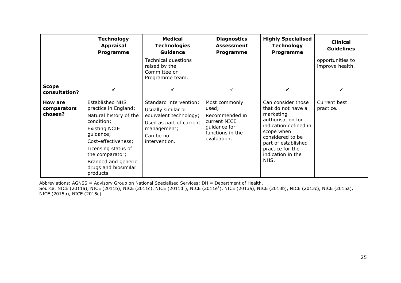|                                   | <b>Technology</b><br><b>Appraisal</b><br>Programme                                                                                                                                                                                                       | <b>Medical</b><br><b>Technologies</b><br><b>Guidance</b>                                                                                       | <b>Diagnostics</b><br><b>Assessment</b><br>Programme                                                        | <b>Highly Specialised</b><br><b>Technology</b><br>Programme                                                                                                                                                   | <b>Clinical</b><br><b>Guidelines</b> |
|-----------------------------------|----------------------------------------------------------------------------------------------------------------------------------------------------------------------------------------------------------------------------------------------------------|------------------------------------------------------------------------------------------------------------------------------------------------|-------------------------------------------------------------------------------------------------------------|---------------------------------------------------------------------------------------------------------------------------------------------------------------------------------------------------------------|--------------------------------------|
|                                   |                                                                                                                                                                                                                                                          | Technical questions<br>raised by the<br>Committee or<br>Programme team.                                                                        |                                                                                                             |                                                                                                                                                                                                               | opportunities to<br>improve health.  |
| <b>Scope</b><br>consultation?     |                                                                                                                                                                                                                                                          |                                                                                                                                                |                                                                                                             |                                                                                                                                                                                                               |                                      |
| How are<br>comparators<br>chosen? | <b>Established NHS</b><br>practice in England;<br>Natural history of the<br>condition;<br><b>Existing NCIE</b><br>guidance;<br>Cost-effectiveness;<br>Licensing status of<br>the comparator;<br>Branded and generic<br>drugs and biosimilar<br>products. | Standard intervention;<br>Usually similar or<br>equivalent technology;<br>Used as part of current<br>management;<br>Can be no<br>intervention. | Most commonly<br>used;<br>Recommended in<br>current NICE<br>quidance for<br>functions in the<br>evaluation. | Can consider those<br>that do not have a<br>marketing<br>authorisation for<br>indication defined in<br>scope when<br>considered to be<br>part of established<br>practice for the<br>indication in the<br>NHS. | Current best<br>practice.            |

Abbreviations: AGNSS = Advisory Group on National Specialised Services; DH = Department of Health.

Source: NICE (2011a), NICE (2011b), NICE (2011c), NICE (2011d†), NICE (2011e†), NICE (2013a), NICE (2013b), NICE (2013c), NICE (2015a), NICE (2015b), NICE (2015c).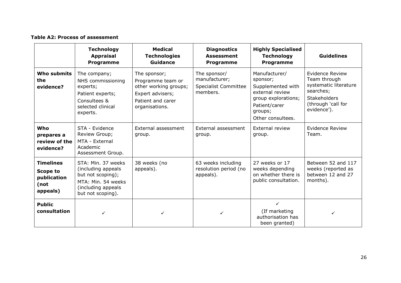#### **Table A2: Process of assessment**

|                                                                        | <b>Technology</b><br><b>Appraisal</b><br><b>Programme</b>                                                                       | <b>Medical</b><br><b>Technologies</b><br><b>Guidance</b>                                                              | <b>Diagnostics</b><br><b>Assessment</b><br>Programme                     | <b>Highly Specialised</b><br><b>Technology</b><br><b>Programme</b>                                                                        | <b>Guidelines</b>                                                                                                                        |
|------------------------------------------------------------------------|---------------------------------------------------------------------------------------------------------------------------------|-----------------------------------------------------------------------------------------------------------------------|--------------------------------------------------------------------------|-------------------------------------------------------------------------------------------------------------------------------------------|------------------------------------------------------------------------------------------------------------------------------------------|
| <b>Who submits</b><br>the<br>evidence?                                 | The company;<br>NHS commissioning<br>experts;<br>Patient experts;<br>Consultees &<br>selected clinical<br>experts.              | The sponsor;<br>Programme team or<br>other working groups;<br>Expert advisers;<br>Patient and carer<br>organisations. | The sponsor/<br>manufacturer;<br><b>Specialist Committee</b><br>members. | Manufacturer/<br>sponsor;<br>Supplemented with<br>external review<br>group explorations;<br>Patient/carer<br>groups;<br>Other consultees. | <b>Evidence Review</b><br>Team through<br>systematic literature<br>searches;<br><b>Stakeholders</b><br>(through 'call for<br>evidence'). |
| Who<br>prepares a<br>review of the<br>evidence?                        | STA - Evidence<br>Review Group;<br>MTA - External<br>Academic<br>Assessment Group.                                              | External assessment<br>group.                                                                                         | External assessment<br>group.                                            | External review<br>group.                                                                                                                 | Evidence Review<br>Team.                                                                                                                 |
| <b>Timelines</b><br><b>Scope to</b><br>publication<br>(not<br>appeals) | STA: Min. 37 weeks<br>(including appeals<br>but not scoping);<br>MTA: Min. 54 weeks<br>(including appeals)<br>but not scoping). | 38 weeks (no<br>appeals).                                                                                             | 63 weeks including<br>resolution period (no<br>appeals).                 | 27 weeks or 17<br>weeks depending<br>on whether there is<br>public consultation.                                                          | Between 52 and 117<br>weeks (reported as<br>between 12 and 27<br>months).                                                                |
| <b>Public</b><br>consultation                                          | ✓                                                                                                                               | ✓                                                                                                                     | ✓                                                                        | $\checkmark$<br>(If marketing<br>authorisation has<br>been granted)                                                                       | ✓                                                                                                                                        |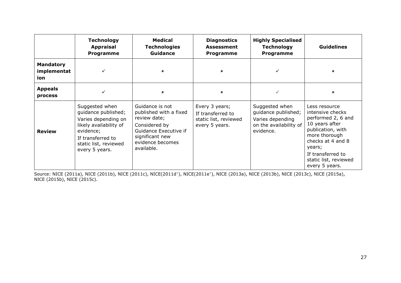|                                        | <b>Technology</b><br><b>Appraisal</b><br><b>Programme</b>                                                                                                           | Medical<br><b>Technologies</b><br><b>Guidance</b>                                                                                                        | <b>Diagnostics</b><br><b>Assessment</b><br>Programme                           | <b>Highly Specialised</b><br><b>Technology</b><br><b>Programme</b>                               | <b>Guidelines</b>                                                                                                                                                                                              |
|----------------------------------------|---------------------------------------------------------------------------------------------------------------------------------------------------------------------|----------------------------------------------------------------------------------------------------------------------------------------------------------|--------------------------------------------------------------------------------|--------------------------------------------------------------------------------------------------|----------------------------------------------------------------------------------------------------------------------------------------------------------------------------------------------------------------|
| <b>Mandatory</b><br>implementat<br>ion |                                                                                                                                                                     | $\boldsymbol{\mathsf{x}}$                                                                                                                                | $\mathbf x$                                                                    |                                                                                                  | ×                                                                                                                                                                                                              |
| <b>Appeals</b><br>process              |                                                                                                                                                                     | $\pmb{\times}$                                                                                                                                           | $\mathbf x$                                                                    | ✓                                                                                                | $\pmb{\times}$                                                                                                                                                                                                 |
| <b>Review</b>                          | Suggested when<br>guidance published;<br>Varies depending on<br>likely availability of<br>evidence;<br>If transferred to<br>static list, reviewed<br>every 5 years. | Guidance is not<br>published with a fixed<br>review date;<br>Considered by<br>Guidance Executive if<br>significant new<br>evidence becomes<br>available. | Every 3 years;<br>If transferred to<br>static list, reviewed<br>every 5 years. | Suggested when<br>guidance published;<br>Varies depending<br>on the availability of<br>evidence. | Less resource<br>intensive checks<br>performed 2, 6 and<br>10 years after<br>publication, with<br>more thorough<br>checks at 4 and 8<br>years;<br>If transferred to<br>static list, reviewed<br>every 5 years. |

Source: NICE (2011a), NICE (2011b), NICE (2011c), NICE(2011d†), NICE(2011e†), NICE (2013a), NICE (2013b), NICE (2013c), NICE (2015a), NICE (2015b), NICE (2015c).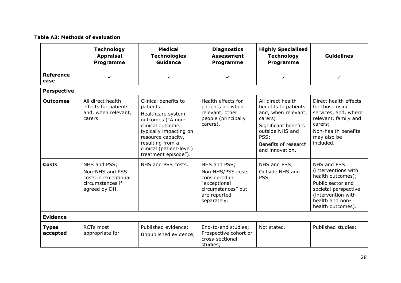#### **Table A3: Methods of evaluation**

|                          | <b>Technology</b><br><b>Appraisal</b><br>Programme                                           | <b>Medical</b><br><b>Technologies</b><br><b>Guidance</b>                                                                                                                                                                 | <b>Diagnostics</b><br><b>Assessment</b><br>Programme                                                                    | <b>Highly Specialised</b><br><b>Technology</b><br><b>Programme</b>                                                                                                        | <b>Guidelines</b>                                                                                                                                                  |
|--------------------------|----------------------------------------------------------------------------------------------|--------------------------------------------------------------------------------------------------------------------------------------------------------------------------------------------------------------------------|-------------------------------------------------------------------------------------------------------------------------|---------------------------------------------------------------------------------------------------------------------------------------------------------------------------|--------------------------------------------------------------------------------------------------------------------------------------------------------------------|
| <b>Reference</b><br>case | $\checkmark$                                                                                 | $\boldsymbol{\mathsf{x}}$                                                                                                                                                                                                | ✓                                                                                                                       | $\mathbf x$                                                                                                                                                               | ✓                                                                                                                                                                  |
| <b>Perspective</b>       |                                                                                              |                                                                                                                                                                                                                          |                                                                                                                         |                                                                                                                                                                           |                                                                                                                                                                    |
| <b>Outcomes</b>          | All direct health<br>effects for patients<br>and, when relevant,<br>carers.                  | Clinical benefits to<br>patients;<br>Healthcare system<br>outcomes ("A non-<br>clinical outcome,<br>typically impacting on<br>resource capacity,<br>resulting from a<br>clinical (patient-level)<br>treatment episode"). | Health effects for<br>patients or, when<br>relevant, other<br>people (principally<br>carers).                           | All direct health<br>benefits to patients<br>and, when relevant,<br>carers;<br>Significant benefits<br>outside NHS and<br>PSS;<br>Benefits of research<br>and innovation. | Direct health effects<br>for those using<br>services, and, where<br>relevant, family and<br>carers;<br>Non-health benefits<br>may also be<br>included.             |
| <b>Costs</b>             | NHS and PSS;<br>Non-NHS and PSS<br>costs in exceptional<br>circumstances if<br>agreed by DH. | NHS and PSS costs.                                                                                                                                                                                                       | NHS and PSS;<br>Non NHS/PSS costs<br>considered in<br>"exceptional<br>circumstances" but<br>are reported<br>separately. | NHS and PSS;<br>Outside NHS and<br>PSS.                                                                                                                                   | NHS and PSS<br>(interventions with<br>health outcomes);<br>Public sector and<br>societal perspective<br>(intervention with<br>health and non-<br>health outcomes). |
| <b>Evidence</b>          |                                                                                              |                                                                                                                                                                                                                          |                                                                                                                         |                                                                                                                                                                           |                                                                                                                                                                    |
| <b>Types</b><br>accepted | <b>RCTs most</b><br>appropriate for                                                          | Published evidence;<br>Unpublished evidence;                                                                                                                                                                             | End-to-end studies;<br>Prospective cohort or<br>cross-sectional<br>studies;                                             | Not stated.                                                                                                                                                               | Published studies;                                                                                                                                                 |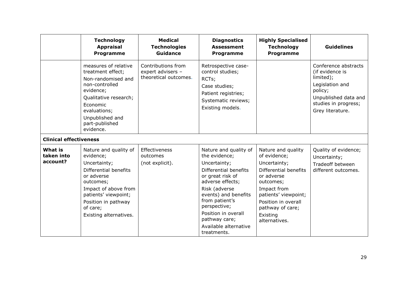|                                          | <b>Technology</b><br><b>Appraisal</b><br>Programme                                                                                                                                                                  | <b>Medical</b><br><b>Technologies</b><br><b>Guidance</b>         | <b>Diagnostics</b><br><b>Assessment</b><br>Programme                                                                                                                                                                                                                               | <b>Highly Specialised</b><br><b>Technology</b><br>Programme                                                                                                                                                           | <b>Guidelines</b>                                                                                                                                      |
|------------------------------------------|---------------------------------------------------------------------------------------------------------------------------------------------------------------------------------------------------------------------|------------------------------------------------------------------|------------------------------------------------------------------------------------------------------------------------------------------------------------------------------------------------------------------------------------------------------------------------------------|-----------------------------------------------------------------------------------------------------------------------------------------------------------------------------------------------------------------------|--------------------------------------------------------------------------------------------------------------------------------------------------------|
|                                          | measures of relative<br>treatment effect;<br>Non-randomised and<br>non-controlled<br>evidence;<br>Qualitative research;<br>Economic<br>evaluations;<br>Unpublished and<br>part-published<br>evidence.               | Contributions from<br>expert advisers -<br>theoretical outcomes. | Retrospective case-<br>control studies;<br>RCTs;<br>Case studies;<br>Patient registries;<br>Systematic reviews;<br>Existing models.                                                                                                                                                |                                                                                                                                                                                                                       | Conference abstracts<br>(if evidence is<br>limited);<br>Legislation and<br>policy;<br>Unpublished data and<br>studies in progress;<br>Grey literature. |
| <b>Clinical effectiveness</b>            |                                                                                                                                                                                                                     |                                                                  |                                                                                                                                                                                                                                                                                    |                                                                                                                                                                                                                       |                                                                                                                                                        |
| <b>What is</b><br>taken into<br>account? | Nature and quality of<br>evidence;<br>Uncertainty;<br>Differential benefits<br>or adverse<br>outcomes;<br>Impact of above from<br>patients' viewpoint;<br>Position in pathway<br>of care;<br>Existing alternatives. | Effectiveness<br>outcomes<br>(not explicit).                     | Nature and quality of<br>the evidence;<br>Uncertainty;<br>Differential benefits<br>or great risk of<br>adverse effects;<br>Risk (adverse<br>events) and benefits<br>from patient's<br>perspective;<br>Position in overall<br>pathway care;<br>Available alternative<br>treatments. | Nature and quality<br>of evidence;<br>Uncertainty;<br>Differential benefits<br>or adverse<br>outcomes;<br>Impact from<br>patients' viewpoint;<br>Position in overall<br>pathway of care;<br>Existing<br>alternatives. | Quality of evidence;<br>Uncertainty;<br><b>Tradeoff between</b><br>different outcomes.                                                                 |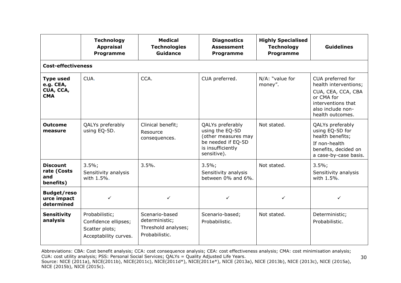|                                                          | <b>Technology</b><br><b>Appraisal</b><br>Programme                                | <b>Medical</b><br><b>Technologies</b><br><b>Guidance</b>                  | <b>Diagnostics</b><br><b>Assessment</b><br><b>Programme</b>                                                          | <b>Highly Specialised</b><br><b>Technology</b><br>Programme | <b>Guidelines</b>                                                                                                                             |
|----------------------------------------------------------|-----------------------------------------------------------------------------------|---------------------------------------------------------------------------|----------------------------------------------------------------------------------------------------------------------|-------------------------------------------------------------|-----------------------------------------------------------------------------------------------------------------------------------------------|
| <b>Cost-effectiveness</b>                                |                                                                                   |                                                                           |                                                                                                                      |                                                             |                                                                                                                                               |
| <b>Type used</b><br>e.g. CEA,<br>CUA, CCA,<br><b>CMA</b> | CUA.                                                                              | CCA.                                                                      | CUA preferred.                                                                                                       | N/A: "value for<br>money".                                  | CUA preferred for<br>health interventions;<br>CUA, CEA, CCA, CBA<br>or CMA for<br>interventions that<br>also include non-<br>health outcomes. |
| <b>Outcome</b><br>measure                                | QALYs preferably<br>using EQ-5D.                                                  | Clinical benefit;<br>Resource<br>consequences.                            | QALYs preferably<br>using the EQ-5D<br>(other measures may<br>be needed if EQ-5D<br>is insufficiently<br>sensitive). | Not stated.                                                 | QALYs preferably<br>using EQ-5D for<br>health benefits;<br>If non-health<br>benefits, decided on<br>a case-by-case basis.                     |
| <b>Discount</b><br>rate (Costs<br>and<br>benefits)       | $3.5\%$ ;<br>Sensitivity analysis<br>with 1.5%.                                   | 3.5%                                                                      | $3.5\%$ ;<br>Sensitivity analysis<br>between 0% and 6%.                                                              | Not stated.                                                 | 3.5%;<br>Sensitivity analysis<br>with 1.5%.                                                                                                   |
| <b>Budget/reso</b><br>urce impact<br>determined          | $\checkmark$                                                                      | ✓                                                                         | ✓                                                                                                                    | $\checkmark$                                                | ✓                                                                                                                                             |
| <b>Sensitivity</b><br>analysis                           | Probabilistic;<br>Confidence ellipses;<br>Scatter plots;<br>Acceptability curves. | Scenario-based<br>deterministic;<br>Threshold analyses;<br>Probabilistic. | Scenario-based;<br>Probabilistic.                                                                                    | Not stated.                                                 | Deterministic;<br>Probabilistic.                                                                                                              |

Abbreviations: CBA: Cost benefit analysis; CCA: cost consequence analysis; CEA: cost effectiveness analysis; CMA: cost minimisation analysis; CUA: cost utility analysis; PSS: Personal Social Services; QALYs = Quality Adjusted Life Years. Source: NICE (2011a), NICE(2011b), NICE(2011c), NICE(2011d\*), NICE(2011e\*), NICE (2013a), NICE (2013b), NICE (2013c), NICE (2015a), NICE (2015b), NICE (2015c).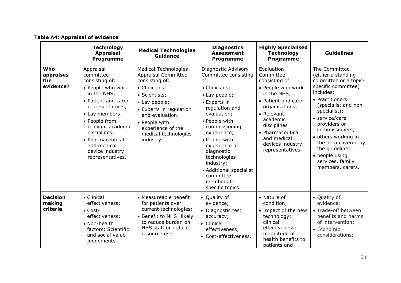#### **Table A4: Appraisal of evidence**

|                                       | <b>Technology</b><br><b>Appraisal</b><br><b>Programme</b>                                                                                                                                                                                                                 | <b>Medical Technologies</b><br><b>Guidance</b>                                                                                                                                                                                                          | <b>Diagnostics</b><br><b>Assessment</b><br><b>Programme</b>                                                                                                                                                                                                                                                                                    | <b>Highly Specialised</b><br><b>Technology</b><br><b>Programme</b>                                                                                                                                                                         | <b>Guidelines</b>                                                                                                                                                                                                                                                                                                                         |
|---------------------------------------|---------------------------------------------------------------------------------------------------------------------------------------------------------------------------------------------------------------------------------------------------------------------------|---------------------------------------------------------------------------------------------------------------------------------------------------------------------------------------------------------------------------------------------------------|------------------------------------------------------------------------------------------------------------------------------------------------------------------------------------------------------------------------------------------------------------------------------------------------------------------------------------------------|--------------------------------------------------------------------------------------------------------------------------------------------------------------------------------------------------------------------------------------------|-------------------------------------------------------------------------------------------------------------------------------------------------------------------------------------------------------------------------------------------------------------------------------------------------------------------------------------------|
| Who<br>appraises<br>the<br>evidence?  | Appraisal<br>committee<br>consisting of:<br>• People who work<br>in the NHS;<br>• Patient and carer<br>representatives;<br>• Lay members;<br>• People from<br>relevant academic<br>disciplines;<br>• Pharmaceutical<br>and medical<br>device industry<br>representatives. | <b>Medical Technologies</b><br><b>Appraisal Committee</b><br>consisting of:<br>• Clinicians;<br>• Scientists;<br>• Lay people;<br>• Experts in regulation<br>and evaluation;<br>• People with<br>experience of the<br>medical technologies<br>industry. | Diagnostic Advisory<br>Committee consisting<br>of:<br>• Clinicians;<br>• Lay people;<br>• Experts in<br>regulation and<br>evaluation;<br>• People with<br>commissioning<br>experience;<br>• People with<br>experience of<br>diagnostic<br>technologies<br>industry;<br>• Additional specialist<br>committee<br>members for<br>specific topics. | Evaluation<br>Committee<br>consisting of:<br>• People who work<br>in the NHS;<br>• Patient and carer<br>organisations;<br>• Relevant<br>academic<br>disciplines<br>• Pharmaceutical<br>and medical<br>devices industry<br>representatives. | The Committee<br>(either a standing<br>committee or a topic-<br>specific committee)<br>includes:<br>• Practitioners<br>(specialist and non-<br>specialist);<br>• service/care<br>providers or<br>commissioners;<br>• others working in<br>the area covered by<br>the guideline;<br>• people using<br>services, family<br>members, carers. |
| <b>Decision</b><br>making<br>criteria | • Clinical<br>effectiveness;<br>$\bullet$ Cost-<br>effectiveness;<br>• Non-health<br>factors: Scientific<br>and social value<br>judgements.                                                                                                                               | • Measureable benefit<br>for patients over<br>current technologies;<br>• Benefit to NHS: likely<br>to reduce burden on<br>NHS staff or reduce<br>resource use.                                                                                          | • Quality of<br>evidence;<br>• Diagnostic test<br>accuracy;<br>• Clinical<br>effectiveness;<br>• Cost-effectiveness.                                                                                                                                                                                                                           | • Nature of<br>condition;<br>• Impact of the new<br>technology:<br>clinical<br>effectiveness;<br>magnitude of<br>health benefits to<br>patients and                                                                                        | • Quality of<br>evidence;<br>• Trade-off between<br>benefits and harms<br>of intervention;<br>• Economic<br>considerations;                                                                                                                                                                                                               |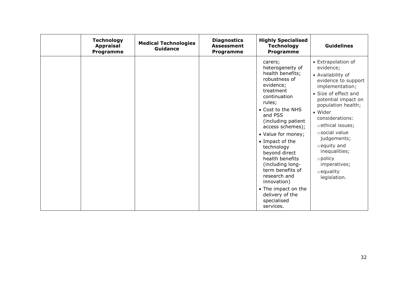| <b>Technology</b><br><b>Appraisal</b><br>Programme | <b>Medical Technologies</b><br><b>Guidance</b> | <b>Diagnostics</b><br><b>Assessment</b><br><b>Programme</b> | <b>Highly Specialised</b><br><b>Technology</b><br>Programme                                                                                                                                                                                                                                                                                                                                                                            | <b>Guidelines</b>                                                                                                                                                                                                                                                                                                                                              |
|----------------------------------------------------|------------------------------------------------|-------------------------------------------------------------|----------------------------------------------------------------------------------------------------------------------------------------------------------------------------------------------------------------------------------------------------------------------------------------------------------------------------------------------------------------------------------------------------------------------------------------|----------------------------------------------------------------------------------------------------------------------------------------------------------------------------------------------------------------------------------------------------------------------------------------------------------------------------------------------------------------|
|                                                    |                                                |                                                             | carers;<br>heterogeneity of<br>health benefits;<br>robustness of<br>evidence;<br>treatment<br>continuation<br>rules;<br>• Cost to the NHS<br>and PSS<br>(including patient<br>access schemes);<br>• Value for money;<br>• Impact of the<br>technology<br>beyond direct<br>health benefits<br>(including long-<br>term benefits of<br>research and<br>innovation)<br>• The impact on the<br>delivery of the<br>specialised<br>services. | • Extrapolation of<br>evidence;<br>• Availability of<br>evidence to support<br>implementation;<br>• Size of effect and<br>potential impact on<br>population health;<br>• Wider<br>considerations:<br>o ethical issues;<br>o social value<br>judgements;<br>o equity and<br>inequalities;<br>$\circ$ policy<br>imperatives;<br>$\circ$ equality<br>legislation. |